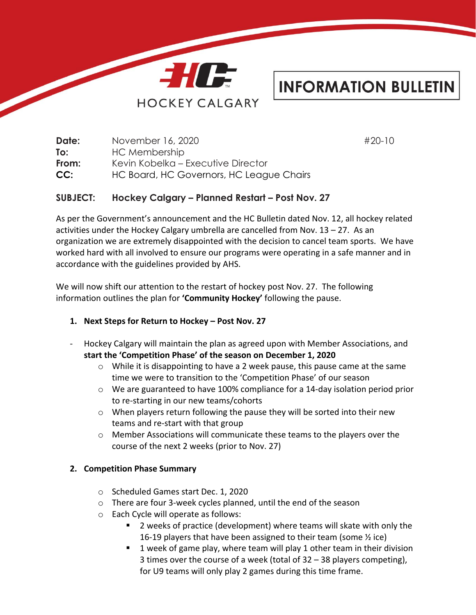

# **INFORMATION BULLETIN**

| November 16, 2020                        | #20-10 |
|------------------------------------------|--------|
| HC Membership                            |        |
| Kevin Kobelka – Executive Director       |        |
| HC Board, HC Governors, HC League Chairs |        |
|                                          |        |

## **SUBJECT: Hockey Calgary – Planned Restart – Post Nov. 27**

As per the Government's announcement and the HC Bulletin dated Nov. 12, all hockey related activities under the Hockey Calgary umbrella are cancelled from Nov.  $13 - 27$ . As an organization we are extremely disappointed with the decision to cancel team sports. We have worked hard with all involved to ensure our programs were operating in a safe manner and in accordance with the guidelines provided by AHS.

We will now shift our attention to the restart of hockey post Nov. 27. The following information outlines the plan for **'Community Hockey'** following the pause.

## **1. Next Steps for Return to Hockey – Post Nov. 27**

- Hockey Calgary will maintain the plan as agreed upon with Member Associations, and **start the 'Competition Phase' of the season on December 1, 2020**
	- $\circ$  While it is disappointing to have a 2 week pause, this pause came at the same time we were to transition to the 'Competition Phase' of our season
	- $\circ$  We are guaranteed to have 100% compliance for a 14-day isolation period prior to re-starting in our new teams/cohorts
	- $\circ$  When players return following the pause they will be sorted into their new teams and re-start with that group
	- o Member Associations will communicate these teams to the players over the course of the next 2 weeks (prior to Nov. 27)

#### **2. Competition Phase Summary**

- o Scheduled Games start Dec. 1, 2020
- o There are four 3-week cycles planned, until the end of the season
- o Each Cycle will operate as follows:
	- 2 weeks of practice (development) where teams will skate with only the 16-19 players that have been assigned to their team (some ½ ice)
	- 1 week of game play, where team will play 1 other team in their division 3 times over the course of a week (total of 32 – 38 players competing), for U9 teams will only play 2 games during this time frame.